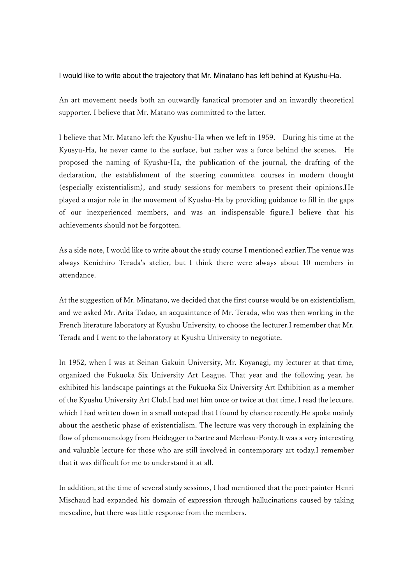I would like to write about the trajectory that Mr. Minatano has left behind at Kyushu-Ha.

An art movement needs both an outwardly fanatical promoter and an inwardly theoretical supporter. I believe that Mr. Matano was committed to the latter.

I believe that Mr. Matano left the Kyushu-Ha when we left in 1959. During his time at the Kyusyu-Ha, he never came to the surface, but rather was a force behind the scenes. He proposed the naming of Kyushu-Ha, the publication of the journal, the drafting of the declaration, the establishment of the steering committee, courses in modern thought (especially existentialism), and study sessions for members to present their opinions.He played a major role in the movement of Kyushu-Ha by providing guidance to fill in the gaps of our inexperienced members, and was an indispensable figure.I believe that his achievements should not be forgotten.

As a side note, I would like to write about the study course I mentioned earlier.The venue was always Kenichiro Terada's atelier, but I think there were always about 10 members in attendance.

At the suggestion of Mr. Minatano, we decided that the first course would be on existentialism, and we asked Mr. Arita Tadao, an acquaintance of Mr. Terada, who was then working in the French literature laboratory at Kyushu University, to choose the lecturer.I remember that Mr. Terada and I went to the laboratory at Kyushu University to negotiate.

In 1952, when I was at Seinan Gakuin University, Mr. Koyanagi, my lecturer at that time, organized the Fukuoka Six University Art League. That year and the following year, he exhibited his landscape paintings at the Fukuoka Six University Art Exhibition as a member of the Kyushu University Art Club.I had met him once or twice at that time. I read the lecture, which I had written down in a small notepad that I found by chance recently.He spoke mainly about the aesthetic phase of existentialism. The lecture was very thorough in explaining the flow of phenomenology from Heidegger to Sartre and Merleau-Ponty.It was a very interesting and valuable lecture for those who are still involved in contemporary art today.I remember that it was difficult for me to understand it at all.

In addition, at the time of several study sessions, I had mentioned that the poet-painter Henri Mischaud had expanded his domain of expression through hallucinations caused by taking mescaline, but there was little response from the members.